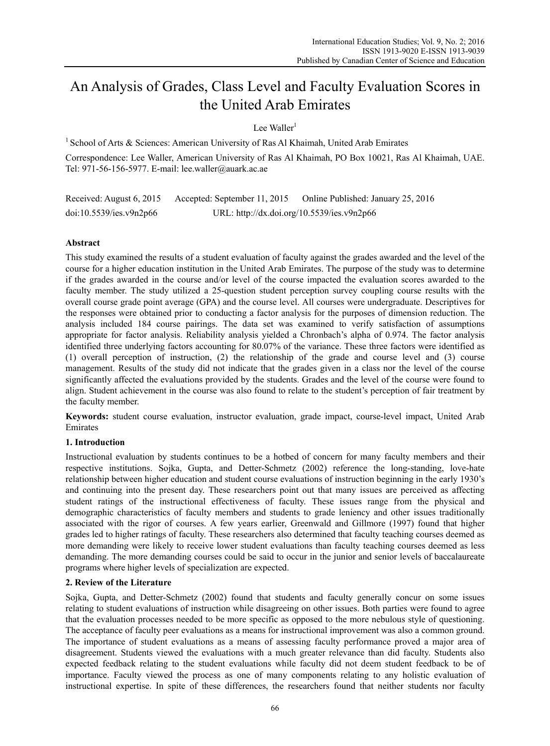# An Analysis of Grades, Class Level and Faculty Evaluation Scores in the United Arab Emirates

Lee Waller $<sup>1</sup>$ </sup>

<sup>1</sup> School of Arts  $\&$  Sciences: American University of Ras Al Khaimah, United Arab Emirates

Correspondence: Lee Waller, American University of Ras Al Khaimah, PO Box 10021, Ras Al Khaimah, UAE. Tel: 971-56-156-5977. E-mail: lee.waller@auark.ac.ae

Received: August 6, 2015 Accepted: September 11, 2015 Online Published: January 25, 2016 doi:10.5539/ies.v9n2p66 URL: http://dx.doi.org/10.5539/ies.v9n2p66

# **Abstract**

This study examined the results of a student evaluation of faculty against the grades awarded and the level of the course for a higher education institution in the United Arab Emirates. The purpose of the study was to determine if the grades awarded in the course and/or level of the course impacted the evaluation scores awarded to the faculty member. The study utilized a 25-question student perception survey coupling course results with the overall course grade point average (GPA) and the course level. All courses were undergraduate. Descriptives for the responses were obtained prior to conducting a factor analysis for the purposes of dimension reduction. The analysis included 184 course pairings. The data set was examined to verify satisfaction of assumptions appropriate for factor analysis. Reliability analysis yielded a Chronbach's alpha of 0.974. The factor analysis identified three underlying factors accounting for 80.07% of the variance. These three factors were identified as (1) overall perception of instruction, (2) the relationship of the grade and course level and (3) course management. Results of the study did not indicate that the grades given in a class nor the level of the course significantly affected the evaluations provided by the students. Grades and the level of the course were found to align. Student achievement in the course was also found to relate to the student's perception of fair treatment by the faculty member.

**Keywords:** student course evaluation, instructor evaluation, grade impact, course-level impact, United Arab Emirates

# **1. Introduction**

Instructional evaluation by students continues to be a hotbed of concern for many faculty members and their respective institutions. Sojka, Gupta, and Detter-Schmetz (2002) reference the long-standing, love-hate relationship between higher education and student course evaluations of instruction beginning in the early 1930's and continuing into the present day. These researchers point out that many issues are perceived as affecting student ratings of the instructional effectiveness of faculty. These issues range from the physical and demographic characteristics of faculty members and students to grade leniency and other issues traditionally associated with the rigor of courses. A few years earlier, Greenwald and Gillmore (1997) found that higher grades led to higher ratings of faculty. These researchers also determined that faculty teaching courses deemed as more demanding were likely to receive lower student evaluations than faculty teaching courses deemed as less demanding. The more demanding courses could be said to occur in the junior and senior levels of baccalaureate programs where higher levels of specialization are expected.

# **2. Review of the Literature**

Sojka, Gupta, and Detter-Schmetz (2002) found that students and faculty generally concur on some issues relating to student evaluations of instruction while disagreeing on other issues. Both parties were found to agree that the evaluation processes needed to be more specific as opposed to the more nebulous style of questioning. The acceptance of faculty peer evaluations as a means for instructional improvement was also a common ground. The importance of student evaluations as a means of assessing faculty performance proved a major area of disagreement. Students viewed the evaluations with a much greater relevance than did faculty. Students also expected feedback relating to the student evaluations while faculty did not deem student feedback to be of importance. Faculty viewed the process as one of many components relating to any holistic evaluation of instructional expertise. In spite of these differences, the researchers found that neither students nor faculty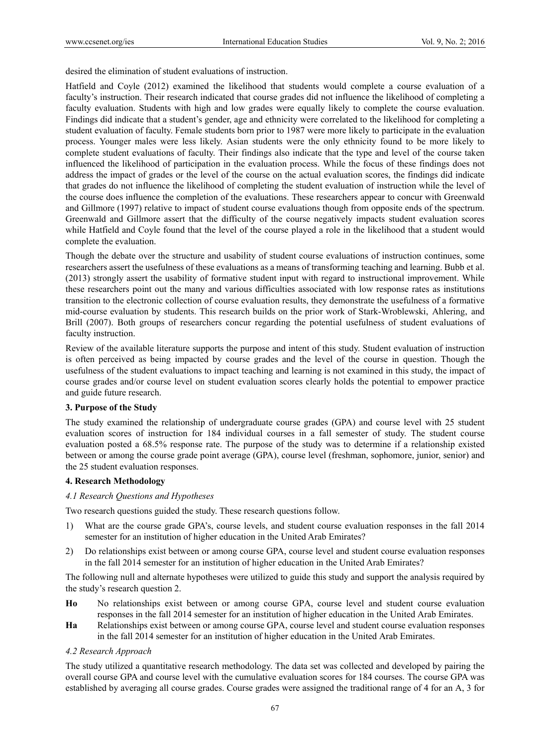desired the elimination of student evaluations of instruction.

Hatfield and Coyle (2012) examined the likelihood that students would complete a course evaluation of a faculty's instruction. Their research indicated that course grades did not influence the likelihood of completing a faculty evaluation. Students with high and low grades were equally likely to complete the course evaluation. Findings did indicate that a student's gender, age and ethnicity were correlated to the likelihood for completing a student evaluation of faculty. Female students born prior to 1987 were more likely to participate in the evaluation process. Younger males were less likely. Asian students were the only ethnicity found to be more likely to complete student evaluations of faculty. Their findings also indicate that the type and level of the course taken influenced the likelihood of participation in the evaluation process. While the focus of these findings does not address the impact of grades or the level of the course on the actual evaluation scores, the findings did indicate that grades do not influence the likelihood of completing the student evaluation of instruction while the level of the course does influence the completion of the evaluations. These researchers appear to concur with Greenwald and Gillmore (1997) relative to impact of student course evaluations though from opposite ends of the spectrum. Greenwald and Gillmore assert that the difficulty of the course negatively impacts student evaluation scores while Hatfield and Coyle found that the level of the course played a role in the likelihood that a student would complete the evaluation.

Though the debate over the structure and usability of student course evaluations of instruction continues, some researchers assert the usefulness of these evaluations as a means of transforming teaching and learning. Bubb et al. (2013) strongly assert the usability of formative student input with regard to instructional improvement. While these researchers point out the many and various difficulties associated with low response rates as institutions transition to the electronic collection of course evaluation results, they demonstrate the usefulness of a formative mid-course evaluation by students. This research builds on the prior work of Stark-Wroblewski, Ahlering, and Brill (2007). Both groups of researchers concur regarding the potential usefulness of student evaluations of faculty instruction.

Review of the available literature supports the purpose and intent of this study. Student evaluation of instruction is often perceived as being impacted by course grades and the level of the course in question. Though the usefulness of the student evaluations to impact teaching and learning is not examined in this study, the impact of course grades and/or course level on student evaluation scores clearly holds the potential to empower practice and guide future research.

## **3. Purpose of the Study**

The study examined the relationship of undergraduate course grades (GPA) and course level with 25 student evaluation scores of instruction for 184 individual courses in a fall semester of study. The student course evaluation posted a 68.5% response rate. The purpose of the study was to determine if a relationship existed between or among the course grade point average (GPA), course level (freshman, sophomore, junior, senior) and the 25 student evaluation responses.

## **4. Research Methodology**

*4.1 Research Questions and Hypotheses* 

Two research questions guided the study. These research questions follow.

- 1) What are the course grade GPA's, course levels, and student course evaluation responses in the fall 2014 semester for an institution of higher education in the United Arab Emirates?
- 2) Do relationships exist between or among course GPA, course level and student course evaluation responses in the fall 2014 semester for an institution of higher education in the United Arab Emirates?

The following null and alternate hypotheses were utilized to guide this study and support the analysis required by the study's research question 2.

- **Ho** No relationships exist between or among course GPA, course level and student course evaluation responses in the fall 2014 semester for an institution of higher education in the United Arab Emirates.
- **Ha** Relationships exist between or among course GPA, course level and student course evaluation responses in the fall 2014 semester for an institution of higher education in the United Arab Emirates.

## *4.2 Research Approach*

The study utilized a quantitative research methodology. The data set was collected and developed by pairing the overall course GPA and course level with the cumulative evaluation scores for 184 courses. The course GPA was established by averaging all course grades. Course grades were assigned the traditional range of 4 for an A, 3 for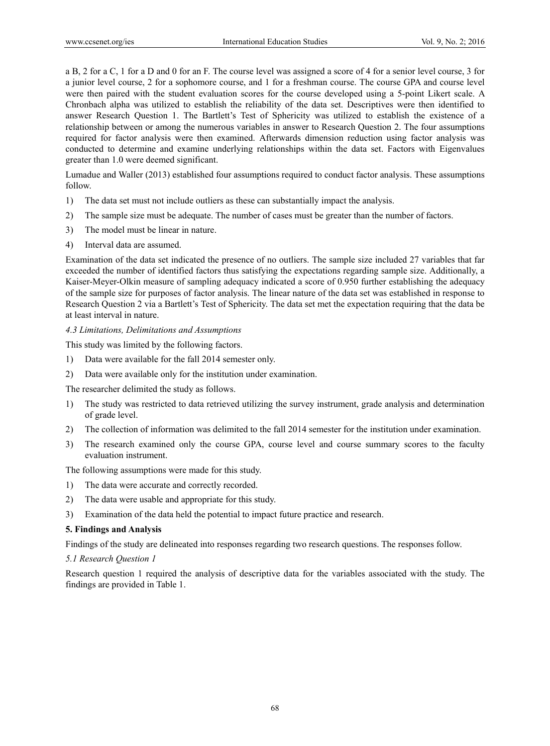a B, 2 for a C, 1 for a D and 0 for an F. The course level was assigned a score of 4 for a senior level course, 3 for a junior level course, 2 for a sophomore course, and 1 for a freshman course. The course GPA and course level were then paired with the student evaluation scores for the course developed using a 5-point Likert scale. A Chronbach alpha was utilized to establish the reliability of the data set. Descriptives were then identified to answer Research Question 1. The Bartlett's Test of Sphericity was utilized to establish the existence of a relationship between or among the numerous variables in answer to Research Question 2. The four assumptions required for factor analysis were then examined. Afterwards dimension reduction using factor analysis was conducted to determine and examine underlying relationships within the data set. Factors with Eigenvalues greater than 1.0 were deemed significant.

Lumadue and Waller (2013) established four assumptions required to conduct factor analysis. These assumptions follow.

- 1) The data set must not include outliers as these can substantially impact the analysis.
- 2) The sample size must be adequate. The number of cases must be greater than the number of factors.
- 3) The model must be linear in nature.
- 4) Interval data are assumed.

Examination of the data set indicated the presence of no outliers. The sample size included 27 variables that far exceeded the number of identified factors thus satisfying the expectations regarding sample size. Additionally, a Kaiser-Meyer-Olkin measure of sampling adequacy indicated a score of 0.950 further establishing the adequacy of the sample size for purposes of factor analysis. The linear nature of the data set was established in response to Research Question 2 via a Bartlett's Test of Sphericity. The data set met the expectation requiring that the data be at least interval in nature.

## *4.3 Limitations, Delimitations and Assumptions*

This study was limited by the following factors.

- 1) Data were available for the fall 2014 semester only.
- 2) Data were available only for the institution under examination.

The researcher delimited the study as follows.

- 1) The study was restricted to data retrieved utilizing the survey instrument, grade analysis and determination of grade level.
- 2) The collection of information was delimited to the fall 2014 semester for the institution under examination.
- 3) The research examined only the course GPA, course level and course summary scores to the faculty evaluation instrument.

The following assumptions were made for this study.

- 1) The data were accurate and correctly recorded.
- 2) The data were usable and appropriate for this study.
- 3) Examination of the data held the potential to impact future practice and research.

## **5. Findings and Analysis**

Findings of the study are delineated into responses regarding two research questions. The responses follow.

## *5.1 Research Question 1*

Research question 1 required the analysis of descriptive data for the variables associated with the study. The findings are provided in Table 1.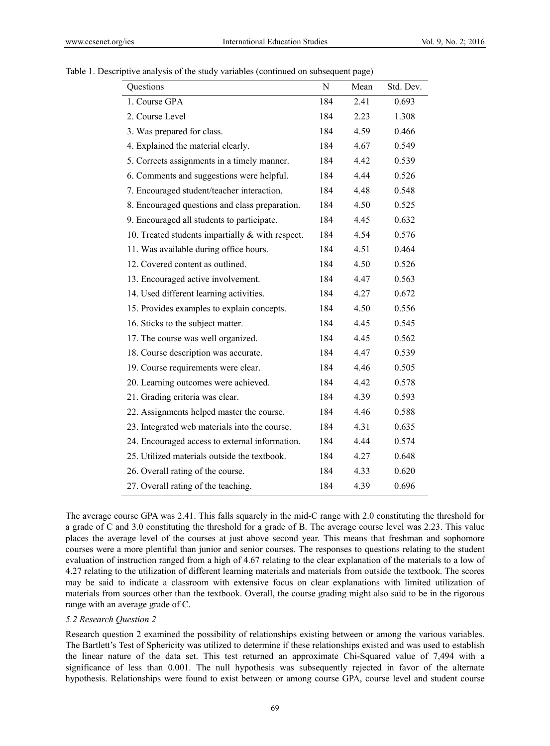| Questions                                          | N   | Mean | Std. Dev. |
|----------------------------------------------------|-----|------|-----------|
| 1. Course GPA                                      | 184 | 2.41 | 0.693     |
| 2. Course Level                                    | 184 | 2.23 | 1.308     |
| 3. Was prepared for class.                         | 184 | 4.59 | 0.466     |
| 4. Explained the material clearly.                 | 184 | 4.67 | 0.549     |
| 5. Corrects assignments in a timely manner.        | 184 | 4.42 | 0.539     |
| 6. Comments and suggestions were helpful.          | 184 | 4.44 | 0.526     |
| 7. Encouraged student/teacher interaction.         | 184 | 4.48 | 0.548     |
| 8. Encouraged questions and class preparation.     | 184 | 4.50 | 0.525     |
| 9. Encouraged all students to participate.         | 184 | 4.45 | 0.632     |
| 10. Treated students impartially $&$ with respect. | 184 | 4.54 | 0.576     |
| 11. Was available during office hours.             | 184 | 4.51 | 0.464     |
| 12. Covered content as outlined.                   | 184 | 4.50 | 0.526     |
| 13. Encouraged active involvement.                 | 184 | 4.47 | 0.563     |
| 14. Used different learning activities.            | 184 | 4.27 | 0.672     |
| 15. Provides examples to explain concepts.         | 184 | 4.50 | 0.556     |
| 16. Sticks to the subject matter.                  | 184 | 4.45 | 0.545     |
| 17. The course was well organized.                 | 184 | 4.45 | 0.562     |
| 18. Course description was accurate.               | 184 | 4.47 | 0.539     |
| 19. Course requirements were clear.                | 184 | 4.46 | 0.505     |
| 20. Learning outcomes were achieved.               | 184 | 4.42 | 0.578     |
| 21. Grading criteria was clear.                    | 184 | 4.39 | 0.593     |
| 22. Assignments helped master the course.          | 184 | 4.46 | 0.588     |
| 23. Integrated web materials into the course.      | 184 | 4.31 | 0.635     |
| 24. Encouraged access to external information.     | 184 | 4.44 | 0.574     |
| 25. Utilized materials outside the textbook.       | 184 | 4.27 | 0.648     |
| 26. Overall rating of the course.                  | 184 | 4.33 | 0.620     |
| 27. Overall rating of the teaching.                | 184 | 4.39 | 0.696     |

#### Table 1. Descriptive analysis of the study variables (continued on subsequent page)

The average course GPA was 2.41. This falls squarely in the mid-C range with 2.0 constituting the threshold for a grade of C and 3.0 constituting the threshold for a grade of B. The average course level was 2.23. This value places the average level of the courses at just above second year. This means that freshman and sophomore courses were a more plentiful than junior and senior courses. The responses to questions relating to the student evaluation of instruction ranged from a high of 4.67 relating to the clear explanation of the materials to a low of 4.27 relating to the utilization of different learning materials and materials from outside the textbook. The scores may be said to indicate a classroom with extensive focus on clear explanations with limited utilization of materials from sources other than the textbook. Overall, the course grading might also said to be in the rigorous range with an average grade of C.

#### *5.2 Research Question 2*

Research question 2 examined the possibility of relationships existing between or among the various variables. The Bartlett's Test of Sphericity was utilized to determine if these relationships existed and was used to establish the linear nature of the data set. This test returned an approximate Chi-Squared value of 7,494 with a significance of less than 0.001. The null hypothesis was subsequently rejected in favor of the alternate hypothesis. Relationships were found to exist between or among course GPA, course level and student course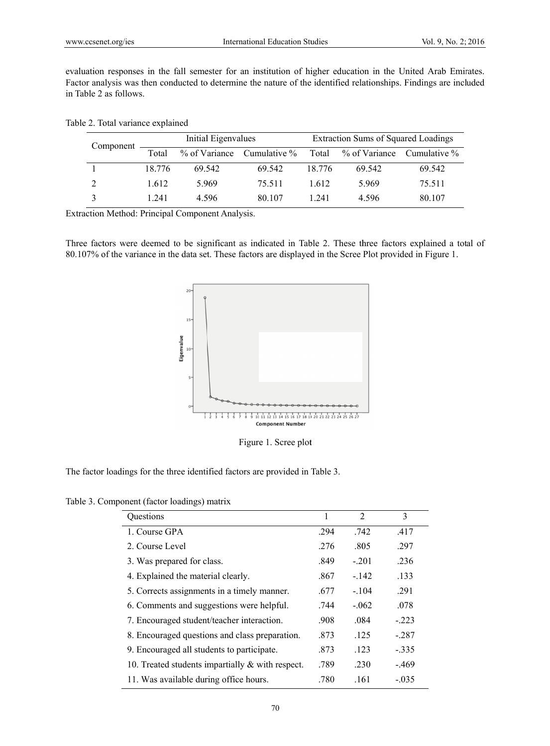| ccsenet.org/ies.              |                 | <b>International Education Studies</b>         |                                                                           |        |               | Vol. 9, No. 2; 2016                                                                                                                                                                                                        |  |  |
|-------------------------------|-----------------|------------------------------------------------|---------------------------------------------------------------------------|--------|---------------|----------------------------------------------------------------------------------------------------------------------------------------------------------------------------------------------------------------------------|--|--|
| able 2 as follows.            |                 |                                                |                                                                           |        |               | uation responses in the fall semester for an institution of higher education in the United Arab Emirates.<br>or analysis was then conducted to determine the nature of the identified relationships. Findings are included |  |  |
| e 2. Total variance explained |                 |                                                |                                                                           |        |               |                                                                                                                                                                                                                            |  |  |
| Component                     |                 | Initial Eigenvalues                            |                                                                           |        |               | <b>Extraction Sums of Squared Loadings</b>                                                                                                                                                                                 |  |  |
|                               | Total           | % of Variance                                  | Cumulative %                                                              | Total  | % of Variance | Cumulative %                                                                                                                                                                                                               |  |  |
| 1                             | 18.776          | 69.542                                         | 69.542                                                                    | 18.776 | 69.542        | 69.542                                                                                                                                                                                                                     |  |  |
| 2                             | 1.612           | 5.969                                          | 75.511                                                                    | 1.612  | 5.969         | 75.511                                                                                                                                                                                                                     |  |  |
| 3                             | 1.241           | 4.596                                          | 80.107                                                                    | 1.241  | 4.596         | 80.107                                                                                                                                                                                                                     |  |  |
|                               |                 | action Method: Principal Component Analysis.   |                                                                           |        |               |                                                                                                                                                                                                                            |  |  |
|                               |                 | 20<br>15 <sup>°</sup><br>Eigenvalue            | <b>Component Number</b>                                                   |        |               |                                                                                                                                                                                                                            |  |  |
|                               |                 |                                                | Figure 1. Scree plot                                                      |        |               |                                                                                                                                                                                                                            |  |  |
|                               |                 | e 3. Component (factor loadings) matrix        | factor loadings for the three identified factors are provided in Table 3. |        |               |                                                                                                                                                                                                                            |  |  |
|                               | Questions       |                                                |                                                                           | 1      | 2             | 3                                                                                                                                                                                                                          |  |  |
|                               | 1. Course GPA   |                                                |                                                                           | .294   | .742          | .417                                                                                                                                                                                                                       |  |  |
|                               | 2. Course Level |                                                |                                                                           | .276   | .805          | .297                                                                                                                                                                                                                       |  |  |
|                               |                 | 3. Was prepared for class.                     |                                                                           | .849   | $-.201$       | .236                                                                                                                                                                                                                       |  |  |
|                               |                 | 4. Explained the material clearly.             |                                                                           | .867   | $-.142$       | .133                                                                                                                                                                                                                       |  |  |
|                               |                 | 5. Corrects assignments in a timely manner.    |                                                                           | .677   | $-.104$       | .291                                                                                                                                                                                                                       |  |  |
|                               |                 | 6. Comments and suggestions were helpful.      |                                                                           | .744   | $-.062$       | .078                                                                                                                                                                                                                       |  |  |
|                               |                 | 7. Encouraged student/teacher interaction.     |                                                                           | .908   | .084          | $-.223$                                                                                                                                                                                                                    |  |  |
|                               |                 | 8. Encouraged questions and class preparation. |                                                                           | .873   | .125          | $-.287$                                                                                                                                                                                                                    |  |  |
|                               |                 | 9. Encouraged all students to participate.     |                                                                           | .873   | .123          | $-.335$                                                                                                                                                                                                                    |  |  |
|                               |                 |                                                | 10. Treated students impartially & with respect.                          | .789   | .230          | $-.469$                                                                                                                                                                                                                    |  |  |

#### Table 2. Total variance explained

Extraction Method: Principal Component Analysis.



Figure 1. Scree plot

Figure 1. Scree plot<br>The factor loadings for the three identified factors are provided in Table 3.

Table 3. Component (factor loadings) matrix

| <b>Ouestions</b>                                    | 1    | $\overline{2}$ | 3       |
|-----------------------------------------------------|------|----------------|---------|
| 1. Course GPA                                       | .294 | .742           | .417    |
| 2. Course Level                                     | .276 | .805           | .297    |
| 3. Was prepared for class.                          | .849 | $-201$         | .236    |
| 4. Explained the material clearly.                  | .867 | $-142$         | .133    |
| 5. Corrects assignments in a timely manner.         | .677 | $-.104$        | .291    |
| 6. Comments and suggestions were helpful.           | .744 | $-062$         | .078    |
| 7. Encouraged student/teacher interaction.          | .908 | .084           | $-.223$ |
| 8. Encouraged questions and class preparation.      | .873 | .125           | $-287$  |
| 9. Encouraged all students to participate.          | .873 | .123           | $-.335$ |
| 10. Treated students impartially $\&$ with respect. | .789 | .230           | $-469$  |
| 11. Was available during office hours.              | .780 | .161           | $-.035$ |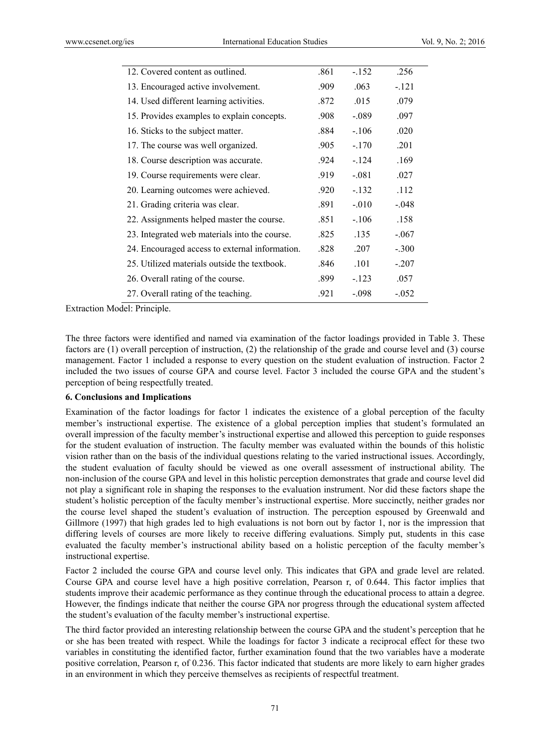| 12. Covered content as outlined.               | .861 | $-152$  | .256    |  |
|------------------------------------------------|------|---------|---------|--|
| 13. Encouraged active involvement.             | .909 | .063    | $-.121$ |  |
| 14. Used different learning activities.        | .872 | .015    | .079    |  |
| 15. Provides examples to explain concepts.     | .908 | $-.089$ | .097    |  |
| 16. Sticks to the subject matter.              | .884 | $-.106$ | .020    |  |
| 17. The course was well organized.             | .905 | $-.170$ | .201    |  |
| 18. Course description was accurate.           | .924 | $-124$  | .169    |  |
| 19. Course requirements were clear.            | .919 | $-.081$ | .027    |  |
| 20. Learning outcomes were achieved.           | .920 | $-.132$ | .112    |  |
| 21. Grading criteria was clear.                | .891 | $-.010$ | $-.048$ |  |
| 22. Assignments helped master the course.      | .851 | $-.106$ | .158    |  |
| 23. Integrated web materials into the course.  | .825 | .135    | $-.067$ |  |
| 24. Encouraged access to external information. | .828 | .207    | $-.300$ |  |
| 25. Utilized materials outside the textbook.   | .846 | .101    | $-.207$ |  |
| 26. Overall rating of the course.              | .899 | $-.123$ | .057    |  |
| 27. Overall rating of the teaching.            | .921 | $-.098$ | $-.052$ |  |
|                                                |      |         |         |  |

Extraction Model: Principle.

The three factors were identified and named via examination of the factor loadings provided in Table 3. These factors are (1) overall perception of instruction, (2) the relationship of the grade and course level and (3) course management. Factor 1 included a response to every question on the student evaluation of instruction. Factor 2 included the two issues of course GPA and course level. Factor 3 included the course GPA and the student's perception of being respectfully treated.

#### **6. Conclusions and Implications**

Examination of the factor loadings for factor 1 indicates the existence of a global perception of the faculty member's instructional expertise. The existence of a global perception implies that student's formulated an overall impression of the faculty member's instructional expertise and allowed this perception to guide responses for the student evaluation of instruction. The faculty member was evaluated within the bounds of this holistic vision rather than on the basis of the individual questions relating to the varied instructional issues. Accordingly, the student evaluation of faculty should be viewed as one overall assessment of instructional ability. The non-inclusion of the course GPA and level in this holistic perception demonstrates that grade and course level did not play a significant role in shaping the responses to the evaluation instrument. Nor did these factors shape the student's holistic perception of the faculty member's instructional expertise. More succinctly, neither grades nor the course level shaped the student's evaluation of instruction. The perception espoused by Greenwald and Gillmore (1997) that high grades led to high evaluations is not born out by factor 1, nor is the impression that differing levels of courses are more likely to receive differing evaluations. Simply put, students in this case evaluated the faculty member's instructional ability based on a holistic perception of the faculty member's instructional expertise.

Factor 2 included the course GPA and course level only. This indicates that GPA and grade level are related. Course GPA and course level have a high positive correlation, Pearson r, of 0.644. This factor implies that students improve their academic performance as they continue through the educational process to attain a degree. However, the findings indicate that neither the course GPA nor progress through the educational system affected the student's evaluation of the faculty member's instructional expertise.

The third factor provided an interesting relationship between the course GPA and the student's perception that he or she has been treated with respect. While the loadings for factor 3 indicate a reciprocal effect for these two variables in constituting the identified factor, further examination found that the two variables have a moderate positive correlation, Pearson r, of 0.236. This factor indicated that students are more likely to earn higher grades in an environment in which they perceive themselves as recipients of respectful treatment.